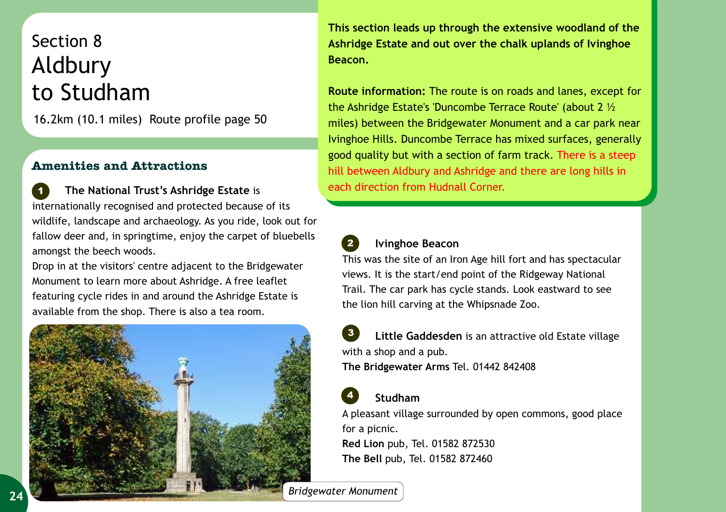## Section 8 Aldbury to Studham

16.2km (10.1 miles) Route profile page 50

## **Amenities and Attractions**

 **The National Trust's Ashridge Estate** is internationally recognised and protected because of its wildlife, landscape and archaeology. As you ride, look out for fallow deer and, in springtime, enjoy the carpet of bluebells amongst the beech woods. *1*

Drop in at the visitors' centre adjacent to the Bridgewater Monument to learn more about Ashridge. A free leaflet featuring cycle rides in and around the Ashridge Estate is available from the shop. There is also a tea room.



**This section leads up through the extensive woodland of the Ashridge Estate and out over the chalk uplands of Ivinghoe Beacon.**

**Route information:** The route is on roads and lanes, except for the Ashridge Estate's 'Duncombe Terrace Route' (about 2 ½ miles) between the Bridgewater Monument and a car park near Ivinghoe Hills. Duncombe Terrace has mixed surfaces, generally good quality but with a section of farm track. There is a steep hill between Aldbury and Ashridge and there are long hills in each direction from Hudnall Corner.



## **Ivinghoe Beacon**

This was the site of an Iron Age hill fort and has spectacular views. It is the start/end point of the Ridgeway National Trail. The car park has cycle stands. Look eastward to see the lion hill carving at the Whipsnade Zoo.

 **Little Gaddesden** is an attractive old Estate village with a shop and a pub. **The Bridgewater Arms** Tel. 01442 842408 *3*



*2*

## **Studham**

A pleasant village surrounded by open commons, good place for a picnic.

**Red Lion** pub, Tel. 01582 872530 **The Bell** pub, Tel. 01582 872460

*Bridgewater Monument*